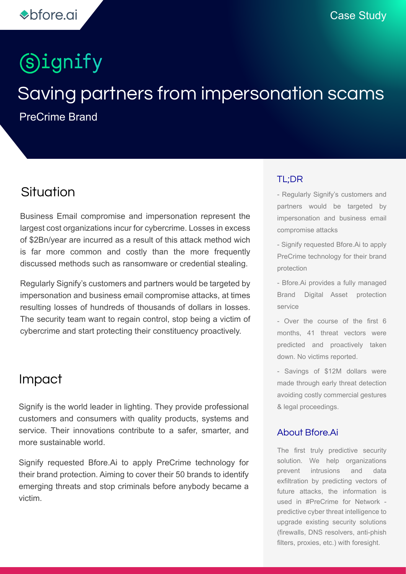# **Signify**

# Saving partners from impersonation scams

PreCrime Brand

### Situation

Business Email compromise and impersonation represent the largest cost organizations incur for cybercrime. Losses in excess of \$2Bn/year are incurred as a result of this attack method wich is far more common and costly than the more frequently discussed methods such as ransomware or credential stealing.

Regularly Signify's customers and partners would be targeted by impersonation and business email compromise attacks, at times resulting losses of hundreds of thousands of dollars in losses. The security team want to regain control, stop being a victim of cybercrime and start protecting their constituency proactively.

#### Impact

Signify is the world leader in lighting. They provide professional customers and consumers with quality products, systems and service. Their innovations contribute to a safer, smarter, and more sustainable world.

Signify requested Bfore.Ai to apply PreCrime technology for their brand protection. Aiming to cover their 50 brands to identify emerging threats and stop criminals before anybody became a victim.

#### TL;DR

- Regularly Signify's customers and partners would be targeted by impersonation and business email compromise attacks

- Signify requested Bfore.Ai to apply PreCrime technology for their brand protection

- Bfore.Ai provides a fully managed Brand Digital Asset protection service

- Over the course of the first 6 months, 41 threat vectors were predicted and proactively taken down. No victims reported.

- Savings of \$12M dollars were made through early threat detection avoiding costly commercial gestures & legal proceedings.

#### About Bfore.Ai

The first truly predictive security solution. We help organizations prevent intrusions and data exfiltration by predicting vectors of future attacks, the information is used in #PreCrime for Network predictive cyber threat intelligence to upgrade existing security solutions (firewalls, DNS resolvers, anti-phish filters, proxies, etc.) with foresight.